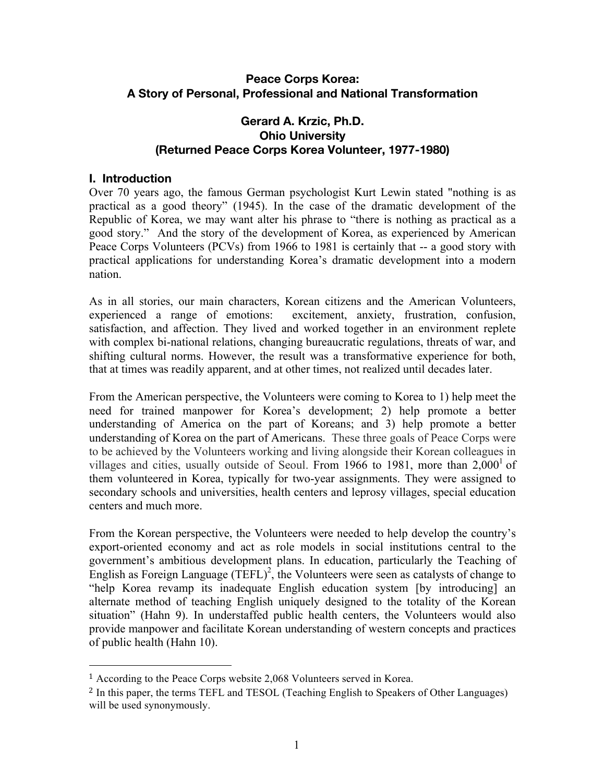### **Peace Corps Korea: A Story of Personal, Professional and National Transformation**

### **Gerard A. Krzic, Ph.D. Ohio University (Returned Peace Corps Korea Volunteer, 1977-1980)**

#### **I. Introduction**

Over 70 years ago, the famous German psychologist Kurt Lewin stated "nothing is as practical as a good theory" (1945). In the case of the dramatic development of the Republic of Korea, we may want alter his phrase to "there is nothing as practical as a good story." And the story of the development of Korea, as experienced by American Peace Corps Volunteers (PCVs) from 1966 to 1981 is certainly that -- a good story with practical applications for understanding Korea's dramatic development into a modern nation.

As in all stories, our main characters, Korean citizens and the American Volunteers, experienced a range of emotions: excitement, anxiety, frustration, confusion, satisfaction, and affection. They lived and worked together in an environment replete with complex bi-national relations, changing bureaucratic regulations, threats of war, and shifting cultural norms. However, the result was a transformative experience for both, that at times was readily apparent, and at other times, not realized until decades later.

From the American perspective, the Volunteers were coming to Korea to 1) help meet the need for trained manpower for Korea's development; 2) help promote a better understanding of America on the part of Koreans; and 3) help promote a better understanding of Korea on the part of Americans. These three goals of Peace Corps were to be achieved by the Volunteers working and living alongside their Korean colleagues in villages and cities, usually outside of Seoul. From 1966 to 1981, more than  $2,000<sup>1</sup>$  of them volunteered in Korea, typically for two-year assignments. They were assigned to secondary schools and universities, health centers and leprosy villages, special education centers and much more.

From the Korean perspective, the Volunteers were needed to help develop the country's export-oriented economy and act as role models in social institutions central to the government's ambitious development plans. In education, particularly the Teaching of English as Foreign Language  $(TEFL)^2$ , the Volunteers were seen as catalysts of change to "help Korea revamp its inadequate English education system [by introducing] an alternate method of teaching English uniquely designed to the totality of the Korean situation" (Hahn 9). In understaffed public health centers, the Volunteers would also provide manpower and facilitate Korean understanding of western concepts and practices of public health (Hahn 10).

 

<sup>1</sup> According to the Peace Corps website 2,068 Volunteers served in Korea.

<sup>2</sup> In this paper, the terms TEFL and TESOL (Teaching English to Speakers of Other Languages) will be used synonymously.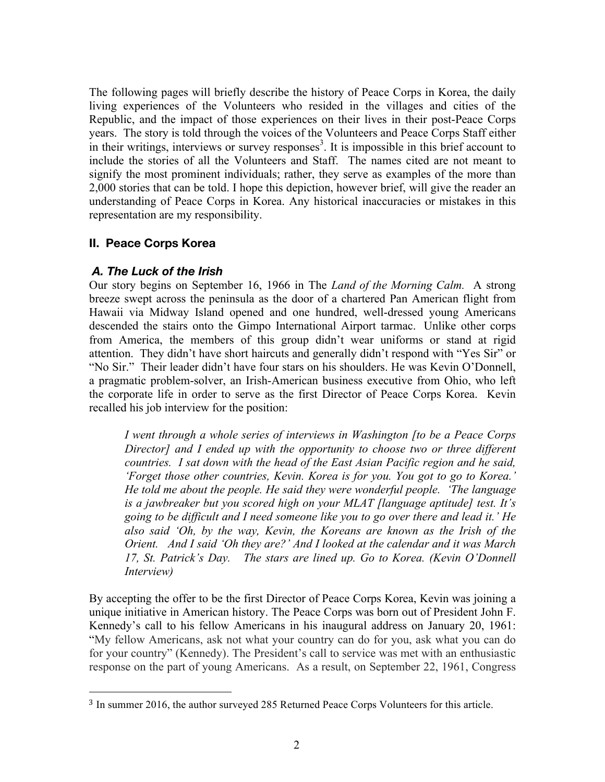The following pages will briefly describe the history of Peace Corps in Korea, the daily living experiences of the Volunteers who resided in the villages and cities of the Republic, and the impact of those experiences on their lives in their post-Peace Corps years. The story is told through the voices of the Volunteers and Peace Corps Staff either in their writings, interviews or survey responses<sup>3</sup>. It is impossible in this brief account to include the stories of all the Volunteers and Staff. The names cited are not meant to signify the most prominent individuals; rather, they serve as examples of the more than 2,000 stories that can be told. I hope this depiction, however brief, will give the reader an understanding of Peace Corps in Korea. Any historical inaccuracies or mistakes in this representation are my responsibility.

### **II. Peace Corps Korea**

### *A. The Luck of the Irish*

 

Our story begins on September 16, 1966 in The *Land of the Morning Calm.* A strong breeze swept across the peninsula as the door of a chartered Pan American flight from Hawaii via Midway Island opened and one hundred, well-dressed young Americans descended the stairs onto the Gimpo International Airport tarmac. Unlike other corps from America, the members of this group didn't wear uniforms or stand at rigid attention. They didn't have short haircuts and generally didn't respond with "Yes Sir" or "No Sir." Their leader didn't have four stars on his shoulders. He was Kevin O'Donnell, a pragmatic problem-solver, an Irish-American business executive from Ohio, who left the corporate life in order to serve as the first Director of Peace Corps Korea. Kevin recalled his job interview for the position:

*I went through a whole series of interviews in Washington [to be a Peace Corps Director] and I ended up with the opportunity to choose two or three different countries. I sat down with the head of the East Asian Pacific region and he said, 'Forget those other countries, Kevin. Korea is for you. You got to go to Korea.' He told me about the people. He said they were wonderful people. 'The language is a jawbreaker but you scored high on your MLAT [language aptitude] test. It's going to be difficult and I need someone like you to go over there and lead it.' He also said 'Oh, by the way, Kevin, the Koreans are known as the Irish of the Orient. And I said 'Oh they are?' And I looked at the calendar and it was March 17, St. Patrick's Day. The stars are lined up. Go to Korea. (Kevin O'Donnell Interview)*

By accepting the offer to be the first Director of Peace Corps Korea, Kevin was joining a unique initiative in American history. The Peace Corps was born out of President John F. Kennedy's call to his fellow Americans in his inaugural address on January 20, 1961: "My fellow Americans, ask not what your country can do for you, ask what you can do for your country" (Kennedy). The President's call to service was met with an enthusiastic response on the part of young Americans. As a result, on September 22, 1961, Congress

<sup>3</sup> In summer 2016, the author surveyed 285 Returned Peace Corps Volunteers for this article.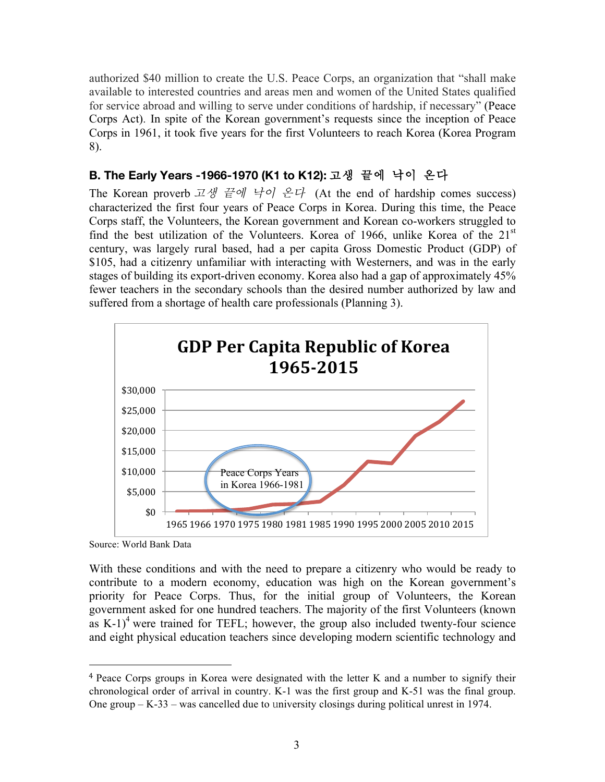authorized \$40 million to create the U.S. Peace Corps, an organization that "shall make available to interested countries and areas men and women of the United States qualified for service abroad and willing to serve under conditions of hardship, if necessary" (Peace Corps Act). In spite of the Korean government's requests since the inception of Peace Corps in 1961, it took five years for the first Volunteers to reach Korea (Korea Program 8).

### **B. The Early Years -1966-1970 (K1 to K12):** 고생 끝에 낙이 온다

The Korean proverb 고생 끝에 낙이 온다 (At the end of hardship comes success) characterized the first four years of Peace Corps in Korea. During this time, the Peace Corps staff, the Volunteers, the Korean government and Korean co-workers struggled to find the best utilization of the Volunteers. Korea of 1966, unlike Korea of the  $21<sup>st</sup>$ century, was largely rural based, had a per capita Gross Domestic Product (GDP) of \$105, had a citizenry unfamiliar with interacting with Westerners, and was in the early stages of building its export-driven economy. Korea also had a gap of approximately 45% fewer teachers in the secondary schools than the desired number authorized by law and suffered from a shortage of health care professionals (Planning 3).



Source: World Bank Data

 

With these conditions and with the need to prepare a citizenry who would be ready to contribute to a modern economy, education was high on the Korean government's priority for Peace Corps. Thus, for the initial group of Volunteers, the Korean government asked for one hundred teachers. The majority of the first Volunteers (known as  $K-1$ <sup>4</sup> were trained for TEFL; however, the group also included twenty-four science and eight physical education teachers since developing modern scientific technology and

<sup>4</sup> Peace Corps groups in Korea were designated with the letter K and a number to signify their chronological order of arrival in country. K-1 was the first group and K-51 was the final group. One group – K-33 – was cancelled due to university closings during political unrest in 1974.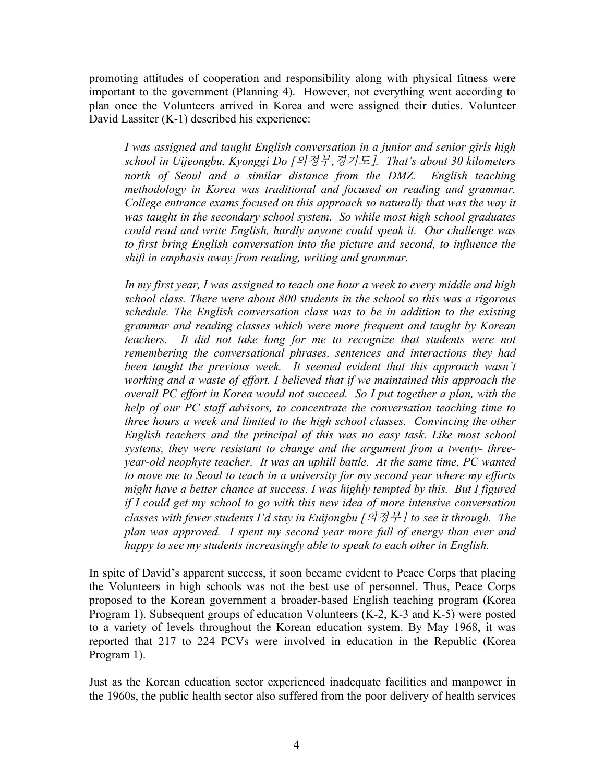promoting attitudes of cooperation and responsibility along with physical fitness were important to the government (Planning 4). However, not everything went according to plan once the Volunteers arrived in Korea and were assigned their duties. Volunteer David Lassiter (K-1) described his experience:

*I was assigned and taught English conversation in a junior and senior girls high school in Uijeongbu, Kyonggi Do [*의정부,경기도]*. That's about 30 kilometers north of Seoul and a similar distance from the DMZ. English teaching methodology in Korea was traditional and focused on reading and grammar. College entrance exams focused on this approach so naturally that was the way it was taught in the secondary school system. So while most high school graduates could read and write English, hardly anyone could speak it. Our challenge was to first bring English conversation into the picture and second, to influence the shift in emphasis away from reading, writing and grammar.* 

*In my first year, I was assigned to teach one hour a week to every middle and high school class. There were about 800 students in the school so this was a rigorous schedule. The English conversation class was to be in addition to the existing grammar and reading classes which were more frequent and taught by Korean teachers.* It did not take long for me to recognize that students were not *remembering the conversational phrases, sentences and interactions they had been taught the previous week. It seemed evident that this approach wasn't working and a waste of effort. I believed that if we maintained this approach the overall PC effort in Korea would not succeed. So I put together a plan, with the help of our PC staff advisors, to concentrate the conversation teaching time to three hours a week and limited to the high school classes. Convincing the other English teachers and the principal of this was no easy task. Like most school systems, they were resistant to change and the argument from a twenty- threeyear-old neophyte teacher. It was an uphill battle. At the same time, PC wanted to move me to Seoul to teach in a university for my second year where my efforts might have a better chance at success. I was highly tempted by this. But I figured if I could get my school to go with this new idea of more intensive conversation classes with fewer students I'd stay in Euijongbu [*의정부] *to see it through. The plan was approved. I spent my second year more full of energy than ever and happy to see my students increasingly able to speak to each other in English.*

In spite of David's apparent success, it soon became evident to Peace Corps that placing the Volunteers in high schools was not the best use of personnel. Thus, Peace Corps proposed to the Korean government a broader-based English teaching program (Korea Program 1). Subsequent groups of education Volunteers (K-2, K-3 and K-5) were posted to a variety of levels throughout the Korean education system. By May 1968, it was reported that 217 to 224 PCVs were involved in education in the Republic (Korea Program 1).

Just as the Korean education sector experienced inadequate facilities and manpower in the 1960s, the public health sector also suffered from the poor delivery of health services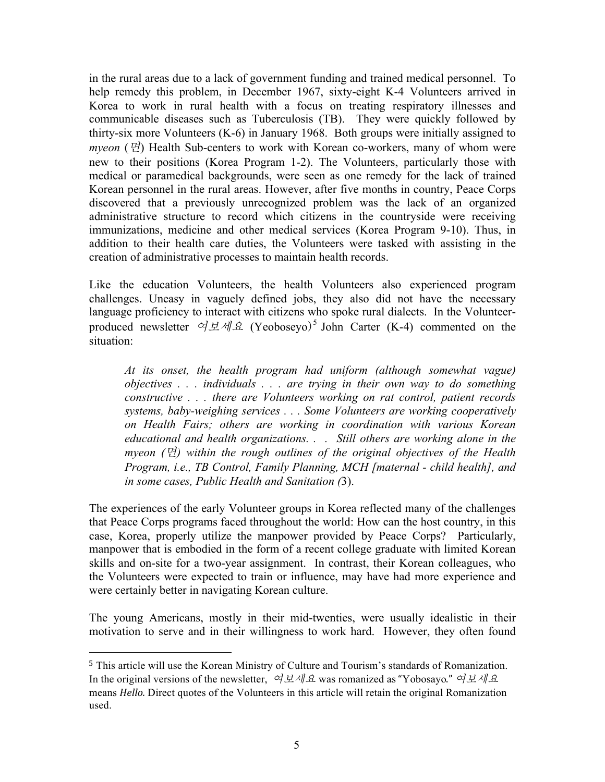in the rural areas due to a lack of government funding and trained medical personnel. To help remedy this problem, in December 1967, sixty-eight K-4 Volunteers arrived in Korea to work in rural health with a focus on treating respiratory illnesses and communicable diseases such as Tuberculosis (TB). They were quickly followed by thirty-six more Volunteers (K-6) in January 1968. Both groups were initially assigned to *myeon* (면) Health Sub-centers to work with Korean co-workers, many of whom were new to their positions (Korea Program 1-2). The Volunteers, particularly those with medical or paramedical backgrounds, were seen as one remedy for the lack of trained Korean personnel in the rural areas. However, after five months in country, Peace Corps discovered that a previously unrecognized problem was the lack of an organized administrative structure to record which citizens in the countryside were receiving immunizations, medicine and other medical services (Korea Program 9-10). Thus, in addition to their health care duties, the Volunteers were tasked with assisting in the creation of administrative processes to maintain health records.

Like the education Volunteers, the health Volunteers also experienced program challenges. Uneasy in vaguely defined jobs, they also did not have the necessary language proficiency to interact with citizens who spoke rural dialects. In the Volunteerproduced newsletter  $\alpha \not\perp \alpha \not\perp \alpha$  (Yeoboseyo)<sup>5</sup> John Carter (K-4) commented on the situation:

*At its onset, the health program had uniform (although somewhat vague) objectives . . . individuals . . . are trying in their own way to do something constructive . . . there are Volunteers working on rat control, patient records systems, baby-weighing services . . . Some Volunteers are working cooperatively on Health Fairs; others are working in coordination with various Korean educational and health organizations. . . Still others are working alone in the myeon (*면*) within the rough outlines of the original objectives of the Health Program, i.e., TB Control, Family Planning, MCH [maternal - child health], and in some cases, Public Health and Sanitation (*3).

The experiences of the early Volunteer groups in Korea reflected many of the challenges that Peace Corps programs faced throughout the world: How can the host country, in this case, Korea, properly utilize the manpower provided by Peace Corps? Particularly, manpower that is embodied in the form of a recent college graduate with limited Korean skills and on-site for a two-year assignment. In contrast, their Korean colleagues, who the Volunteers were expected to train or influence, may have had more experience and were certainly better in navigating Korean culture.

The young Americans, mostly in their mid-twenties, were usually idealistic in their motivation to serve and in their willingness to work hard. However, they often found

 

<sup>5</sup> This article will use the Korean Ministry of Culture and Tourism's standards of Romanization. In the original versions of the newsletter, 여보세요 was romanized as "Yobosayo." 여보세요 means *Hello.* Direct quotes of the Volunteers in this article will retain the original Romanization used.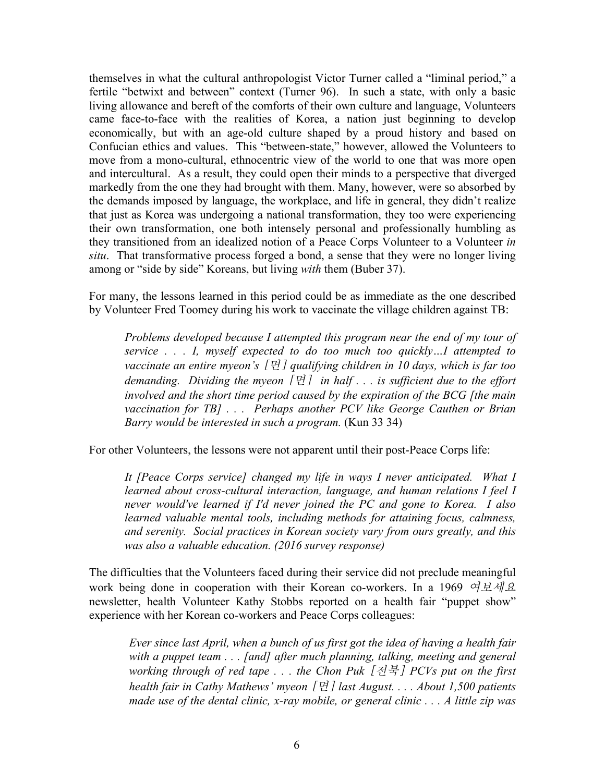themselves in what the cultural anthropologist Victor Turner called a "liminal period," a fertile "betwixt and between" context (Turner 96). In such a state, with only a basic living allowance and bereft of the comforts of their own culture and language, Volunteers came face-to-face with the realities of Korea, a nation just beginning to develop economically, but with an age-old culture shaped by a proud history and based on Confucian ethics and values. This "between-state," however, allowed the Volunteers to move from a mono-cultural, ethnocentric view of the world to one that was more open and intercultural. As a result, they could open their minds to a perspective that diverged markedly from the one they had brought with them. Many, however, were so absorbed by the demands imposed by language, the workplace, and life in general, they didn't realize that just as Korea was undergoing a national transformation, they too were experiencing their own transformation, one both intensely personal and professionally humbling as they transitioned from an idealized notion of a Peace Corps Volunteer to a Volunteer *in situ*. That transformative process forged a bond, a sense that they were no longer living among or "side by side" Koreans, but living *with* them (Buber 37).

For many, the lessons learned in this period could be as immediate as the one described by Volunteer Fred Toomey during his work to vaccinate the village children against TB:

*Problems developed because I attempted this program near the end of my tour of service . . . I, myself expected to do too much too quickly…I attempted to vaccinate an entire myeon's* [면] *qualifying children in 10 days, which is far too demanding. Dividing the myeon* [면] *in half . . . is sufficient due to the effort involved and the short time period caused by the expiration of the BCG [the main vaccination for TB] . . . Perhaps another PCV like George Cauthen or Brian Barry would be interested in such a program.* (Kun 33 34)

For other Volunteers, the lessons were not apparent until their post-Peace Corps life:

*It [Peace Corps service] changed my life in ways I never anticipated. What I learned about cross-cultural interaction, language, and human relations I feel I never would've learned if I'd never joined the PC and gone to Korea. I also learned valuable mental tools, including methods for attaining focus, calmness, and serenity. Social practices in Korean society vary from ours greatly, and this was also a valuable education. (2016 survey response)*

The difficulties that the Volunteers faced during their service did not preclude meaningful work being done in cooperation with their Korean co-workers. In a 1969 여보세요 newsletter, health Volunteer Kathy Stobbs reported on a health fair "puppet show" experience with her Korean co-workers and Peace Corps colleagues:

*Ever since last April, when a bunch of us first got the idea of having a health fair with a puppet team . . . [and] after much planning, talking, meeting and general working through of red tape . . . the Chon Puk* [전북] *PCVs put on the first health fair in Cathy Mathews' myeon* [면] *last August. . . . About 1,500 patients made use of the dental clinic, x-ray mobile, or general clinic . . . A little zip was*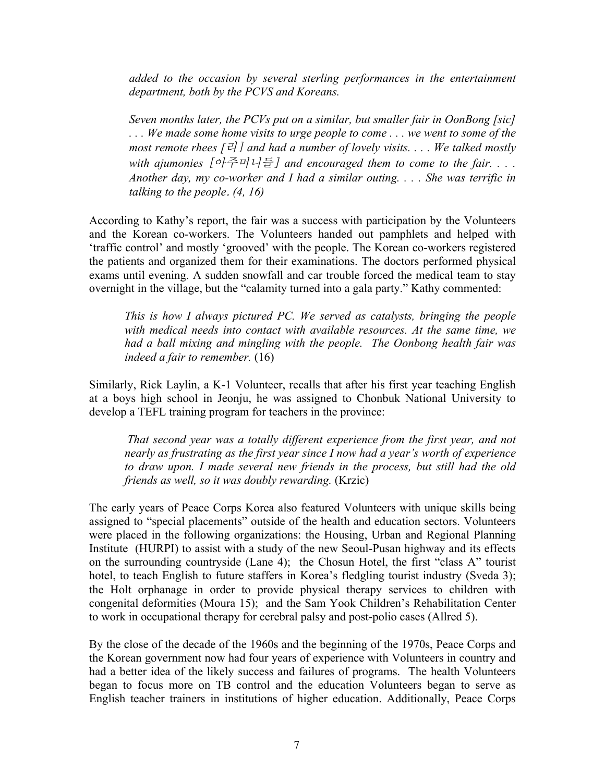*added to the occasion by several sterling performances in the entertainment department, both by the PCVS and Koreans.* 

*Seven months later, the PCVs put on a similar, but smaller fair in OonBong [sic] . . . We made some home visits to urge people to come . . . we went to some of the most remote rhees*  $[\vec{e}]$  *and had a number of lovely visits.... We talked mostly with ajumonies* [아주머니들] *and encouraged them to come to the fair. . . . Another day, my co-worker and I had a similar outing. . . . She was terrific in talking to the people*. *(4, 16)*

According to Kathy's report, the fair was a success with participation by the Volunteers and the Korean co-workers. The Volunteers handed out pamphlets and helped with 'traffic control' and mostly 'grooved' with the people. The Korean co-workers registered the patients and organized them for their examinations. The doctors performed physical exams until evening. A sudden snowfall and car trouble forced the medical team to stay overnight in the village, but the "calamity turned into a gala party." Kathy commented:

*This is how I always pictured PC. We served as catalysts, bringing the people with medical needs into contact with available resources. At the same time, we had a ball mixing and mingling with the people. The Oonbong health fair was indeed a fair to remember.* (16)

Similarly, Rick Laylin, a K-1 Volunteer, recalls that after his first year teaching English at a boys high school in Jeonju, he was assigned to Chonbuk National University to develop a TEFL training program for teachers in the province:

*That second year was a totally different experience from the first year, and not nearly as frustrating as the first year since I now had a year's worth of experience to draw upon. I made several new friends in the process, but still had the old friends as well, so it was doubly rewarding.* (Krzic)

The early years of Peace Corps Korea also featured Volunteers with unique skills being assigned to "special placements" outside of the health and education sectors. Volunteers were placed in the following organizations: the Housing, Urban and Regional Planning Institute (HURPI) to assist with a study of the new Seoul-Pusan highway and its effects on the surrounding countryside (Lane 4); the Chosun Hotel, the first "class A" tourist hotel, to teach English to future staffers in Korea's fledgling tourist industry (Sveda 3); the Holt orphanage in order to provide physical therapy services to children with congenital deformities (Moura 15); and the Sam Yook Children's Rehabilitation Center to work in occupational therapy for cerebral palsy and post-polio cases (Allred 5).

By the close of the decade of the 1960s and the beginning of the 1970s, Peace Corps and the Korean government now had four years of experience with Volunteers in country and had a better idea of the likely success and failures of programs. The health Volunteers began to focus more on TB control and the education Volunteers began to serve as English teacher trainers in institutions of higher education. Additionally, Peace Corps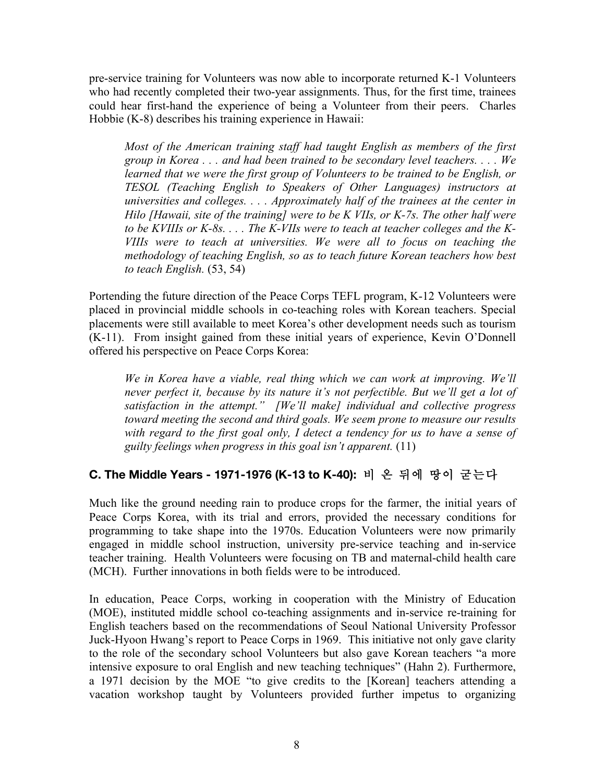pre-service training for Volunteers was now able to incorporate returned K-1 Volunteers who had recently completed their two-year assignments. Thus, for the first time, trainees could hear first-hand the experience of being a Volunteer from their peers. Charles Hobbie (K-8) describes his training experience in Hawaii:

*Most of the American training staff had taught English as members of the first group in Korea . . . and had been trained to be secondary level teachers. . . . We learned that we were the first group of Volunteers to be trained to be English, or TESOL (Teaching English to Speakers of Other Languages) instructors at universities and colleges. . . . Approximately half of the trainees at the center in Hilo [Hawaii, site of the training] were to be K VIIs, or K-7s. The other half were to be KVIIIs or K-8s. . . . The K-VIIs were to teach at teacher colleges and the K-VIIIs were to teach at universities. We were all to focus on teaching the methodology of teaching English, so as to teach future Korean teachers how best to teach English.* (53, 54)

Portending the future direction of the Peace Corps TEFL program, K-12 Volunteers were placed in provincial middle schools in co-teaching roles with Korean teachers. Special placements were still available to meet Korea's other development needs such as tourism (K-11). From insight gained from these initial years of experience, Kevin O'Donnell offered his perspective on Peace Corps Korea:

*We in Korea have a viable, real thing which we can work at improving. We'll never perfect it, because by its nature it's not perfectible. But we'll get a lot of satisfaction in the attempt." [We'll make] individual and collective progress toward meeting the second and third goals. We seem prone to measure our results with regard to the first goal only, I detect a tendency for us to have a sense of guilty feelings when progress in this goal isn't apparent.* (11)

## **C. The Middle Years - 1971-1976 (K-13 to K-40):** 비 온 뒤에 땅이 굳는다

Much like the ground needing rain to produce crops for the farmer, the initial years of Peace Corps Korea, with its trial and errors, provided the necessary conditions for programming to take shape into the 1970s. Education Volunteers were now primarily engaged in middle school instruction, university pre-service teaching and in-service teacher training. Health Volunteers were focusing on TB and maternal-child health care (MCH). Further innovations in both fields were to be introduced.

In education, Peace Corps, working in cooperation with the Ministry of Education (MOE), instituted middle school co-teaching assignments and in-service re-training for English teachers based on the recommendations of Seoul National University Professor Juck-Hyoon Hwang's report to Peace Corps in 1969. This initiative not only gave clarity to the role of the secondary school Volunteers but also gave Korean teachers "a more intensive exposure to oral English and new teaching techniques" (Hahn 2). Furthermore, a 1971 decision by the MOE "to give credits to the [Korean] teachers attending a vacation workshop taught by Volunteers provided further impetus to organizing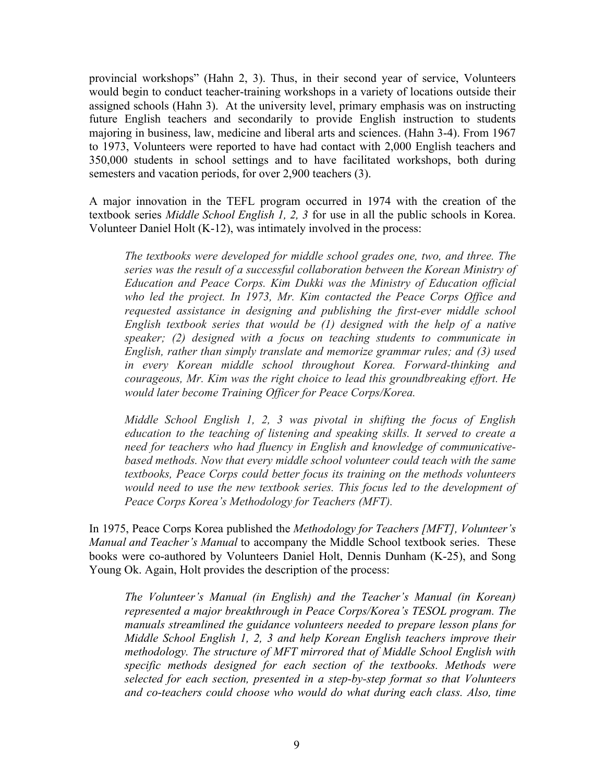provincial workshops" (Hahn 2, 3). Thus, in their second year of service, Volunteers would begin to conduct teacher-training workshops in a variety of locations outside their assigned schools (Hahn 3). At the university level, primary emphasis was on instructing future English teachers and secondarily to provide English instruction to students majoring in business, law, medicine and liberal arts and sciences. (Hahn 3-4). From 1967 to 1973, Volunteers were reported to have had contact with 2,000 English teachers and 350,000 students in school settings and to have facilitated workshops, both during semesters and vacation periods, for over 2,900 teachers (3).

A major innovation in the TEFL program occurred in 1974 with the creation of the textbook series *Middle School English 1, 2, 3* for use in all the public schools in Korea. Volunteer Daniel Holt (K-12), was intimately involved in the process:

*The textbooks were developed for middle school grades one, two, and three. The series was the result of a successful collaboration between the Korean Ministry of Education and Peace Corps. Kim Dukki was the Ministry of Education official who led the project. In 1973, Mr. Kim contacted the Peace Corps Office and requested assistance in designing and publishing the first-ever middle school English textbook series that would be (1) designed with the help of a native speaker; (2) designed with a focus on teaching students to communicate in English, rather than simply translate and memorize grammar rules; and (3) used in every Korean middle school throughout Korea. Forward-thinking and courageous, Mr. Kim was the right choice to lead this groundbreaking effort. He would later become Training Officer for Peace Corps/Korea.*

*Middle School English 1, 2, 3 was pivotal in shifting the focus of English education to the teaching of listening and speaking skills. It served to create a need for teachers who had fluency in English and knowledge of communicativebased methods. Now that every middle school volunteer could teach with the same textbooks, Peace Corps could better focus its training on the methods volunteers*  would need to use the new textbook series. This focus led to the development of *Peace Corps Korea's Methodology for Teachers (MFT).*

In 1975, Peace Corps Korea published the *Methodology for Teachers [MFT], Volunteer's Manual and Teacher's Manual* to accompany the Middle School textbook series. These books were co-authored by Volunteers Daniel Holt, Dennis Dunham (K-25), and Song Young Ok. Again, Holt provides the description of the process:

*The Volunteer's Manual (in English) and the Teacher's Manual (in Korean) represented a major breakthrough in Peace Corps/Korea's TESOL program. The manuals streamlined the guidance volunteers needed to prepare lesson plans for Middle School English 1, 2, 3 and help Korean English teachers improve their methodology. The structure of MFT mirrored that of Middle School English with specific methods designed for each section of the textbooks. Methods were selected for each section, presented in a step-by-step format so that Volunteers and co-teachers could choose who would do what during each class. Also, time*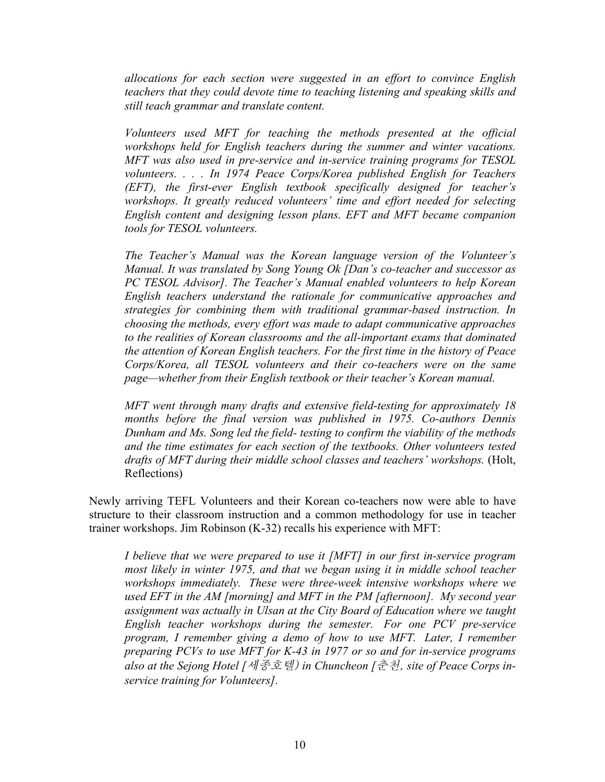*allocations for each section were suggested in an effort to convince English teachers that they could devote time to teaching listening and speaking skills and still teach grammar and translate content.* 

*Volunteers used MFT for teaching the methods presented at the official workshops held for English teachers during the summer and winter vacations. MFT was also used in pre-service and in-service training programs for TESOL volunteers. . . . In 1974 Peace Corps/Korea published English for Teachers (EFT), the first-ever English textbook specifically designed for teacher's workshops. It greatly reduced volunteers' time and effort needed for selecting English content and designing lesson plans. EFT and MFT became companion tools for TESOL volunteers.*

*The Teacher's Manual was the Korean language version of the Volunteer's Manual. It was translated by Song Young Ok [Dan's co-teacher and successor as PC TESOL Advisor]. The Teacher's Manual enabled volunteers to help Korean English teachers understand the rationale for communicative approaches and strategies for combining them with traditional grammar-based instruction. In choosing the methods, every effort was made to adapt communicative approaches to the realities of Korean classrooms and the all-important exams that dominated the attention of Korean English teachers. For the first time in the history of Peace Corps/Korea, all TESOL volunteers and their co-teachers were on the same page—whether from their English textbook or their teacher's Korean manual.*

*MFT went through many drafts and extensive field-testing for approximately 18 months before the final version was published in 1975. Co-authors Dennis Dunham and Ms. Song led the field- testing to confirm the viability of the methods and the time estimates for each section of the textbooks. Other volunteers tested drafts of MFT during their middle school classes and teachers' workshops.* (Holt, Reflections)

Newly arriving TEFL Volunteers and their Korean co-teachers now were able to have structure to their classroom instruction and a common methodology for use in teacher trainer workshops. Jim Robinson (K-32) recalls his experience with MFT:

*I believe that we were prepared to use it [MFT] in our first in-service program most likely in winter 1975, and that we began using it in middle school teacher workshops immediately. These were three-week intensive workshops where we used EFT in the AM [morning] and MFT in the PM [afternoon]. My second year assignment was actually in Ulsan at the City Board of Education where we taught English teacher workshops during the semester. For one PCV pre-service program, I remember giving a demo of how to use MFT. Later, I remember preparing PCVs to use MFT for K-43 in 1977 or so and for in-service programs also at the Sejong Hotel [*세종호텔) *in Chuncheon [*춘천, *site of Peace Corps inservice training for Volunteers].*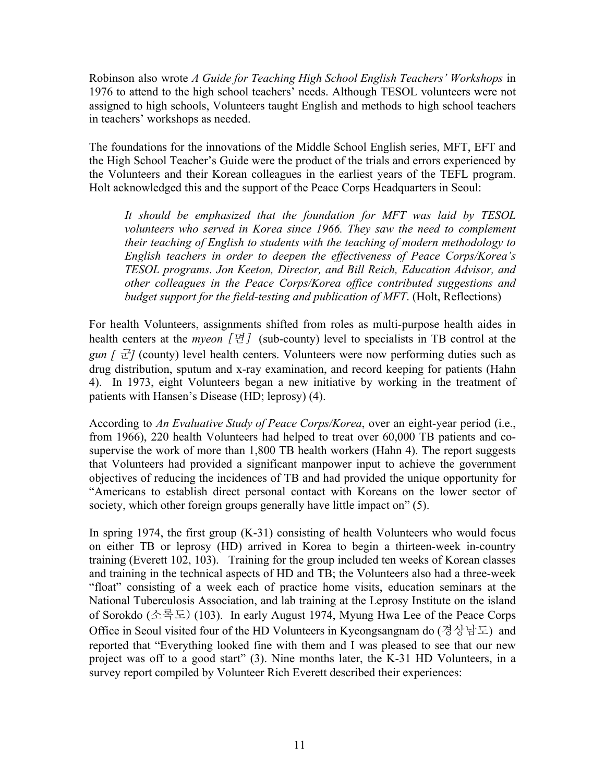Robinson also wrote *A Guide for Teaching High School English Teachers' Workshops* in 1976 to attend to the high school teachers' needs. Although TESOL volunteers were not assigned to high schools, Volunteers taught English and methods to high school teachers in teachers' workshops as needed.

The foundations for the innovations of the Middle School English series, MFT, EFT and the High School Teacher's Guide were the product of the trials and errors experienced by the Volunteers and their Korean colleagues in the earliest years of the TEFL program. Holt acknowledged this and the support of the Peace Corps Headquarters in Seoul:

*It should be emphasized that the foundation for MFT was laid by TESOL volunteers who served in Korea since 1966. They saw the need to complement their teaching of English to students with the teaching of modern methodology to English teachers in order to deepen the effectiveness of Peace Corps/Korea's TESOL programs. Jon Keeton, Director, and Bill Reich, Education Advisor, and other colleagues in the Peace Corps/Korea office contributed suggestions and budget support for the field-testing and publication of MFT*. (Holt, Reflections)

For health Volunteers, assignments shifted from roles as multi-purpose health aides in health centers at the *myeon* [면] (sub-county) level to specialists in TB control at the *gun*  $\int \vec{\tau}$  (county) level health centers. Volunteers were now performing duties such as drug distribution, sputum and x-ray examination, and record keeping for patients (Hahn 4). In 1973, eight Volunteers began a new initiative by working in the treatment of patients with Hansen's Disease (HD; leprosy) (4).

According to *An Evaluative Study of Peace Corps/Korea*, over an eight-year period (i.e., from 1966), 220 health Volunteers had helped to treat over 60,000 TB patients and cosupervise the work of more than 1,800 TB health workers (Hahn 4). The report suggests that Volunteers had provided a significant manpower input to achieve the government objectives of reducing the incidences of TB and had provided the unique opportunity for "Americans to establish direct personal contact with Koreans on the lower sector of society, which other foreign groups generally have little impact on" (5).

In spring 1974, the first group  $(K-31)$  consisting of health Volunteers who would focus on either TB or leprosy (HD) arrived in Korea to begin a thirteen-week in-country training (Everett 102, 103). Training for the group included ten weeks of Korean classes and training in the technical aspects of HD and TB; the Volunteers also had a three-week "float" consisting of a week each of practice home visits, education seminars at the National Tuberculosis Association, and lab training at the Leprosy Institute on the island of Sorokdo (소록도) (103). In early August 1974, Myung Hwa Lee of the Peace Corps Office in Seoul visited four of the HD Volunteers in Kyeongsangnam do (경상남도) and reported that "Everything looked fine with them and I was pleased to see that our new project was off to a good start" (3). Nine months later, the K-31 HD Volunteers, in a survey report compiled by Volunteer Rich Everett described their experiences: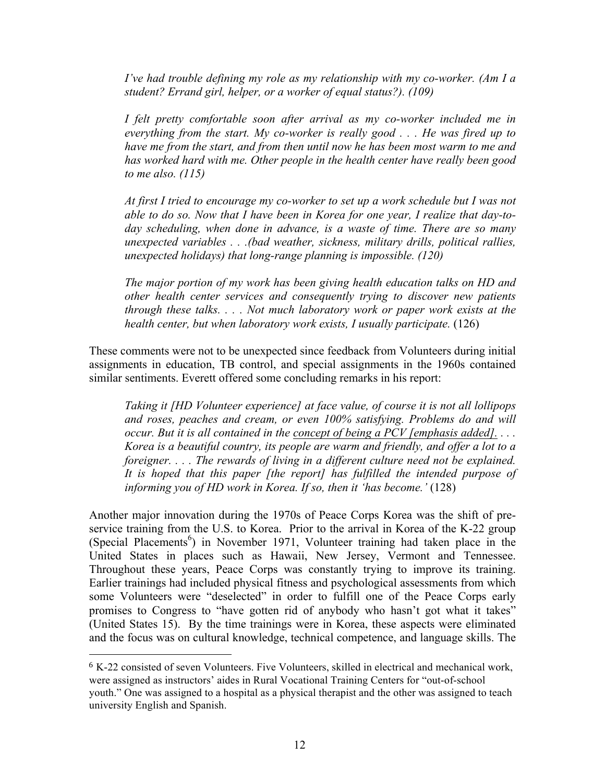*I've had trouble defining my role as my relationship with my co-worker. (Am I a student? Errand girl, helper, or a worker of equal status?). (109)*

*I felt pretty comfortable soon after arrival as my co-worker included me in everything from the start. My co-worker is really good . . . He was fired up to have me from the start, and from then until now he has been most warm to me and has worked hard with me. Other people in the health center have really been good to me also. (115)*

*At first I tried to encourage my co-worker to set up a work schedule but I was not able to do so. Now that I have been in Korea for one year, I realize that day-today scheduling, when done in advance, is a waste of time. There are so many unexpected variables . . .(bad weather, sickness, military drills, political rallies, unexpected holidays) that long-range planning is impossible. (120)*

*The major portion of my work has been giving health education talks on HD and other health center services and consequently trying to discover new patients through these talks. . . . Not much laboratory work or paper work exists at the health center, but when laboratory work exists, I usually participate.* (126)

These comments were not to be unexpected since feedback from Volunteers during initial assignments in education, TB control, and special assignments in the 1960s contained similar sentiments. Everett offered some concluding remarks in his report:

*Taking it [HD Volunteer experience] at face value, of course it is not all lollipops and roses, peaches and cream, or even 100% satisfying. Problems do and will occur. But it is all contained in the concept of being a PCV [emphasis added]. . . . Korea is a beautiful country, its people are warm and friendly, and offer a lot to a foreigner. . . . The rewards of living in a different culture need not be explained. It is hoped that this paper [the report] has fulfilled the intended purpose of informing you of HD work in Korea. If so, then it 'has become.'* (128)

Another major innovation during the 1970s of Peace Corps Korea was the shift of preservice training from the U.S. to Korea. Prior to the arrival in Korea of the K-22 group (Special Placements<sup>6</sup>) in November 1971, Volunteer training had taken place in the United States in places such as Hawaii, New Jersey, Vermont and Tennessee. Throughout these years, Peace Corps was constantly trying to improve its training. Earlier trainings had included physical fitness and psychological assessments from which some Volunteers were "deselected" in order to fulfill one of the Peace Corps early promises to Congress to "have gotten rid of anybody who hasn't got what it takes" (United States 15). By the time trainings were in Korea, these aspects were eliminated and the focus was on cultural knowledge, technical competence, and language skills. The

 

<sup>6</sup> K-22 consisted of seven Volunteers. Five Volunteers, skilled in electrical and mechanical work, were assigned as instructors' aides in Rural Vocational Training Centers for "out-of-school youth." One was assigned to a hospital as a physical therapist and the other was assigned to teach university English and Spanish.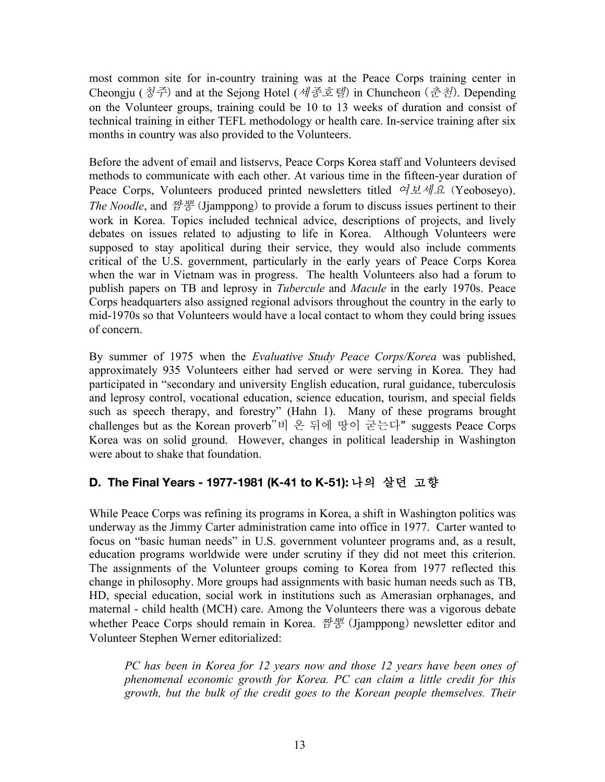most common site for in-country training was at the Peace Corps training center in Cheongju (청주) and at the Sejong Hotel (세종호텔) in Chuncheon (춘천). Depending on the Volunteer groups, training could be 10 to 13 weeks of duration and consist of technical training in either TEFL methodology or health care. In-service training after six months in country was also provided to the Volunteers.

Before the advent of email and listservs, Peace Corps Korea staff and Volunteers devised methods to communicate with each other. At various time in the fifteen-year duration of Peace Corps, Volunteers produced printed newsletters titled  $\alpha \not\perp \alpha \not\perp \alpha$  (Yeobosevo). *The Noodle*, and 짬뽕 (Jjamppong) to provide a forum to discuss issues pertinent to their work in Korea. Topics included technical advice, descriptions of projects, and lively debates on issues related to adjusting to life in Korea. Although Volunteers were supposed to stay apolitical during their service, they would also include comments critical of the U.S. government, particularly in the early years of Peace Corps Korea when the war in Vietnam was in progress. The health Volunteers also had a forum to publish papers on TB and leprosy in *Tubercule* and *Macule* in the early 1970s. Peace Corps headquarters also assigned regional advisors throughout the country in the early to mid-1970s so that Volunteers would have a local contact to whom they could bring issues of concern.

By summer of 1975 when the *Evaluative Study Peace Corps/Korea* was published, approximately 935 Volunteers either had served or were serving in Korea. They had participated in "secondary and university English education, rural guidance, tuberculosis and leprosy control, vocational education, science education, tourism, and special fields such as speech therapy, and forestry" (Hahn 1). Many of these programs brought challenges but as the Korean proverb"비 온 뒤에 땅이 굳는다" suggests Peace Corps Korea was on solid ground. However, changes in political leadership in Washington were about to shake that foundation

## **D. The Final Years - 1977-1981 (K-41 to K-51):** 나의 살던 고향

While Peace Corps was refining its programs in Korea, a shift in Washington politics was underway as the Jimmy Carter administration came into office in 1977. Carter wanted to focus on "basic human needs" in U.S. government volunteer programs and, as a result, education programs worldwide were under scrutiny if they did not meet this criterion. The assignments of the Volunteer groups coming to Korea from 1977 reflected this change in philosophy. More groups had assignments with basic human needs such as TB, HD, special education, social work in institutions such as Amerasian orphanages, and maternal - child health (MCH) care. Among the Volunteers there was a vigorous debate whether Peace Corps should remain in Korea.  $\mathbb{Z}^{\perp}$  (Jjamppong) newsletter editor and Volunteer Stephen Werner editorialized:

*PC has been in Korea for 12 years now and those 12 years have been ones of phenomenal economic growth for Korea. PC can claim a little credit for this growth, but the bulk of the credit goes to the Korean people themselves. Their*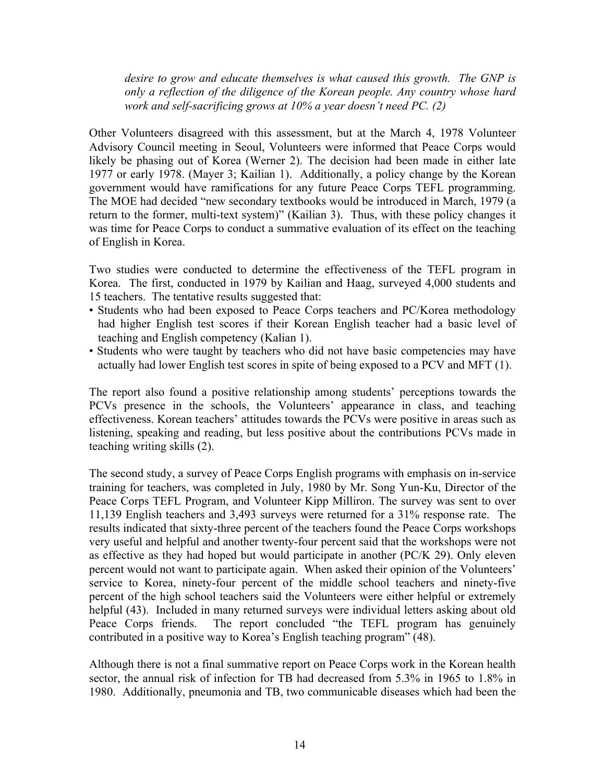*desire to grow and educate themselves is what caused this growth. The GNP is only a reflection of the diligence of the Korean people. Any country whose hard work and self-sacrificing grows at 10% a year doesn't need PC. (2)*

Other Volunteers disagreed with this assessment, but at the March 4, 1978 Volunteer Advisory Council meeting in Seoul, Volunteers were informed that Peace Corps would likely be phasing out of Korea (Werner 2). The decision had been made in either late 1977 or early 1978. (Mayer 3; Kailian 1). Additionally, a policy change by the Korean government would have ramifications for any future Peace Corps TEFL programming. The MOE had decided "new secondary textbooks would be introduced in March, 1979 (a return to the former, multi-text system)" (Kailian 3). Thus, with these policy changes it was time for Peace Corps to conduct a summative evaluation of its effect on the teaching of English in Korea.

Two studies were conducted to determine the effectiveness of the TEFL program in Korea. The first, conducted in 1979 by Kailian and Haag, surveyed 4,000 students and 15 teachers. The tentative results suggested that:

- Students who had been exposed to Peace Corps teachers and PC/Korea methodology had higher English test scores if their Korean English teacher had a basic level of teaching and English competency (Kalian 1).
- Students who were taught by teachers who did not have basic competencies may have actually had lower English test scores in spite of being exposed to a PCV and MFT (1).

The report also found a positive relationship among students' perceptions towards the PCVs presence in the schools, the Volunteers' appearance in class, and teaching effectiveness. Korean teachers' attitudes towards the PCVs were positive in areas such as listening, speaking and reading, but less positive about the contributions PCVs made in teaching writing skills (2).

The second study, a survey of Peace Corps English programs with emphasis on in-service training for teachers, was completed in July, 1980 by Mr. Song Yun-Ku, Director of the Peace Corps TEFL Program, and Volunteer Kipp Milliron. The survey was sent to over 11,139 English teachers and 3,493 surveys were returned for a 31% response rate. The results indicated that sixty-three percent of the teachers found the Peace Corps workshops very useful and helpful and another twenty-four percent said that the workshops were not as effective as they had hoped but would participate in another (PC/K 29). Only eleven percent would not want to participate again. When asked their opinion of the Volunteers' service to Korea, ninety-four percent of the middle school teachers and ninety-five percent of the high school teachers said the Volunteers were either helpful or extremely helpful (43). Included in many returned surveys were individual letters asking about old Peace Corps friends. The report concluded "the TEFL program has genuinely contributed in a positive way to Korea's English teaching program" (48).

Although there is not a final summative report on Peace Corps work in the Korean health sector, the annual risk of infection for TB had decreased from 5.3% in 1965 to 1.8% in 1980. Additionally, pneumonia and TB, two communicable diseases which had been the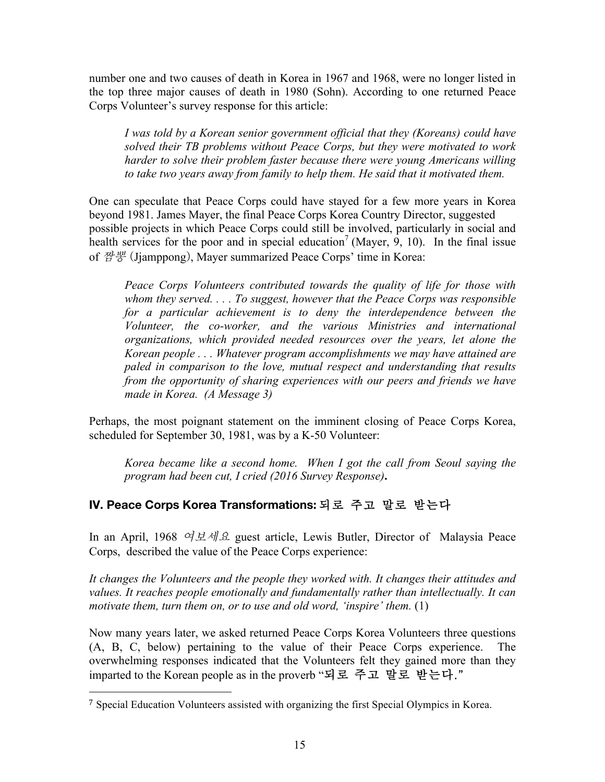number one and two causes of death in Korea in 1967 and 1968, were no longer listed in the top three major causes of death in 1980 (Sohn). According to one returned Peace Corps Volunteer's survey response for this article:

*I was told by a Korean senior government official that they (Koreans) could have solved their TB problems without Peace Corps, but they were motivated to work harder to solve their problem faster because there were young Americans willing to take two years away from family to help them. He said that it motivated them.*

One can speculate that Peace Corps could have stayed for a few more years in Korea beyond 1981. James Mayer, the final Peace Corps Korea Country Director, suggested possible projects in which Peace Corps could still be involved, particularly in social and health services for the poor and in special education<sup>7</sup> (Mayer, 9, 10). In the final issue of 짬뽕 (Jjamppong), Mayer summarized Peace Corps' time in Korea:

*Peace Corps Volunteers contributed towards the quality of life for those with whom they served. . . . To suggest, however that the Peace Corps was responsible for a particular achievement is to deny the interdependence between the Volunteer, the co-worker, and the various Ministries and international organizations, which provided needed resources over the years, let alone the Korean people . . . Whatever program accomplishments we may have attained are paled in comparison to the love, mutual respect and understanding that results from the opportunity of sharing experiences with our peers and friends we have made in Korea. (A Message 3)* 

Perhaps, the most poignant statement on the imminent closing of Peace Corps Korea, scheduled for September 30, 1981, was by a K-50 Volunteer:

*Korea became like a second home. When I got the call from Seoul saying the program had been cut, I cried (2016 Survey Response)***.**

### **IV. Peace Corps Korea Transformations:** 되로 주고 말로 받는다

In an April, 1968 여보세요 guest article, Lewis Butler, Director of Malaysia Peace Corps, described the value of the Peace Corps experience:

*It changes the Volunteers and the people they worked with. It changes their attitudes and values. It reaches people emotionally and fundamentally rather than intellectually. It can motivate them, turn them on, or to use and old word, 'inspire' them.* (1)

Now many years later, we asked returned Peace Corps Korea Volunteers three questions (A, B, C, below) pertaining to the value of their Peace Corps experience. The overwhelming responses indicated that the Volunteers felt they gained more than they imparted to the Korean people as in the proverb "되로 주고 말로 받는다."

 

<sup>7</sup> Special Education Volunteers assisted with organizing the first Special Olympics in Korea.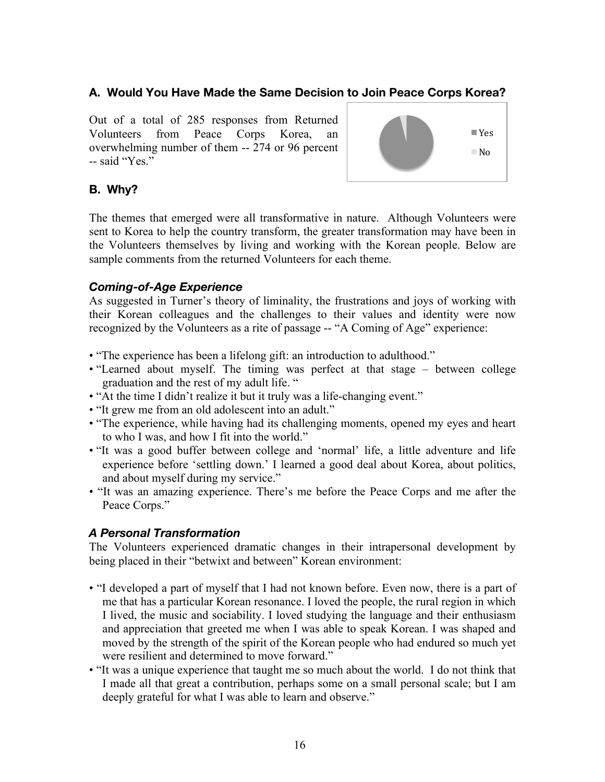### **A. Would You Have Made the Same Decision to Join Peace Corps Korea?**

Out of a total of 285 responses from Returned Volunteers from Peace Corps Korea, an overwhelming number of them -- 274 or 96 percent -- said "Yes."



### **B. Why?**

The themes that emerged were all transformative in nature. Although Volunteers were sent to Korea to help the country transform, the greater transformation may have been in the Volunteers themselves by living and working with the Korean people. Below are sample comments from the returned Volunteers for each theme.

### *Coming-of-Age Experience*

As suggested in Turner's theory of liminality, the frustrations and joys of working with their Korean colleagues and the challenges to their values and identity were now recognized by the Volunteers as a rite of passage -- "A Coming of Age" experience:

- "The experience has been a lifelong gift: an introduction to adulthood."
- "Learned about myself. The timing was perfect at that stage between college graduation and the rest of my adult life. "
- "At the time I didn't realize it but it truly was a life-changing event."
- "It grew me from an old adolescent into an adult."
- "The experience, while having had its challenging moments, opened my eyes and heart to who I was, and how I fit into the world."
- "It was a good buffer between college and 'normal' life, a little adventure and life experience before 'settling down.' I learned a good deal about Korea, about politics, and about myself during my service."
- "It was an amazing experience. There's me before the Peace Corps and me after the Peace Corps."

### *A Personal Transformation*

The Volunteers experienced dramatic changes in their intrapersonal development by being placed in their "betwixt and between" Korean environment:

- "I developed a part of myself that I had not known before. Even now, there is a part of me that has a particular Korean resonance. I loved the people, the rural region in which I lived, the music and sociability. I loved studying the language and their enthusiasm and appreciation that greeted me when I was able to speak Korean. I was shaped and moved by the strength of the spirit of the Korean people who had endured so much yet were resilient and determined to move forward."
- "It was a unique experience that taught me so much about the world. I do not think that I made all that great a contribution, perhaps some on a small personal scale; but I am deeply grateful for what I was able to learn and observe."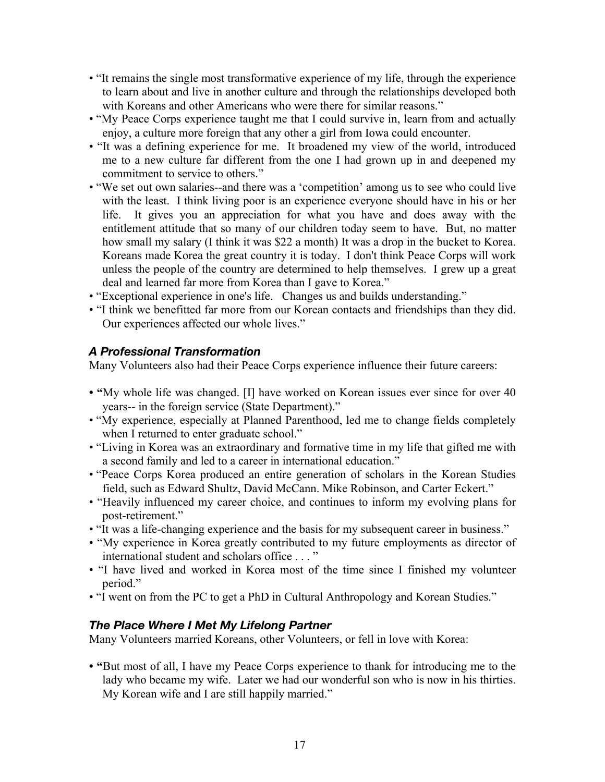- "It remains the single most transformative experience of my life, through the experience to learn about and live in another culture and through the relationships developed both with Koreans and other Americans who were there for similar reasons."
- "My Peace Corps experience taught me that I could survive in, learn from and actually enjoy, a culture more foreign that any other a girl from Iowa could encounter.
- "It was a defining experience for me. It broadened my view of the world, introduced me to a new culture far different from the one I had grown up in and deepened my commitment to service to others."
- "We set out own salaries--and there was a 'competition' among us to see who could live with the least. I think living poor is an experience everyone should have in his or her life. It gives you an appreciation for what you have and does away with the entitlement attitude that so many of our children today seem to have. But, no matter how small my salary (I think it was \$22 a month) It was a drop in the bucket to Korea. Koreans made Korea the great country it is today. I don't think Peace Corps will work unless the people of the country are determined to help themselves. I grew up a great deal and learned far more from Korea than I gave to Korea."
- "Exceptional experience in one's life. Changes us and builds understanding."
- "I think we benefitted far more from our Korean contacts and friendships than they did. Our experiences affected our whole lives."

### *A Professional Transformation*

Many Volunteers also had their Peace Corps experience influence their future careers:

- **"**My whole life was changed. [I] have worked on Korean issues ever since for over 40 years-- in the foreign service (State Department)."
- "My experience, especially at Planned Parenthood, led me to change fields completely when I returned to enter graduate school."
- "Living in Korea was an extraordinary and formative time in my life that gifted me with a second family and led to a career in international education."
- "Peace Corps Korea produced an entire generation of scholars in the Korean Studies field, such as Edward Shultz, David McCann. Mike Robinson, and Carter Eckert."
- "Heavily influenced my career choice, and continues to inform my evolving plans for post-retirement."
- "It was a life-changing experience and the basis for my subsequent career in business."
- "My experience in Korea greatly contributed to my future employments as director of international student and scholars office . . . "
- "I have lived and worked in Korea most of the time since I finished my volunteer period."
- "I went on from the PC to get a PhD in Cultural Anthropology and Korean Studies."

### *The Place Where I Met My Lifelong Partner*

Many Volunteers married Koreans, other Volunteers, or fell in love with Korea:

**• "**But most of all, I have my Peace Corps experience to thank for introducing me to the lady who became my wife. Later we had our wonderful son who is now in his thirties. My Korean wife and I are still happily married."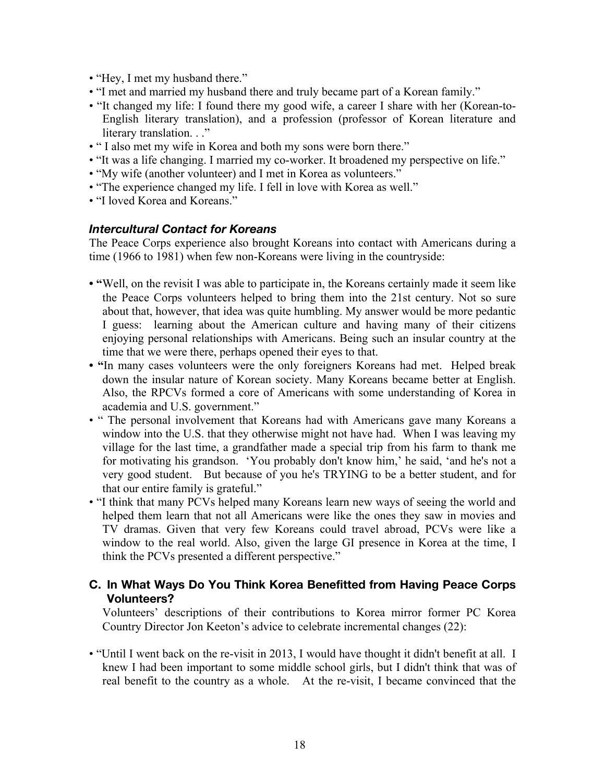- "Hey, I met my husband there."
- "I met and married my husband there and truly became part of a Korean family."
- "It changed my life: I found there my good wife, a career I share with her (Korean-to-English literary translation), and a profession (professor of Korean literature and literary translation. . ."
- " I also met my wife in Korea and both my sons were born there."
- "It was a life changing. I married my co-worker. It broadened my perspective on life."
- "My wife (another volunteer) and I met in Korea as volunteers."
- "The experience changed my life. I fell in love with Korea as well."
- "I loved Korea and Koreans."

#### *Intercultural Contact for Koreans*

The Peace Corps experience also brought Koreans into contact with Americans during a time (1966 to 1981) when few non-Koreans were living in the countryside:

- **"**Well, on the revisit I was able to participate in, the Koreans certainly made it seem like the Peace Corps volunteers helped to bring them into the 21st century. Not so sure about that, however, that idea was quite humbling. My answer would be more pedantic I guess: learning about the American culture and having many of their citizens enjoying personal relationships with Americans. Being such an insular country at the time that we were there, perhaps opened their eyes to that.
- **"**In many cases volunteers were the only foreigners Koreans had met. Helped break down the insular nature of Korean society. Many Koreans became better at English. Also, the RPCVs formed a core of Americans with some understanding of Korea in academia and U.S. government."
- " The personal involvement that Koreans had with Americans gave many Koreans a window into the U.S. that they otherwise might not have had. When I was leaving my village for the last time, a grandfather made a special trip from his farm to thank me for motivating his grandson. 'You probably don't know him,' he said, 'and he's not a very good student. But because of you he's TRYING to be a better student, and for that our entire family is grateful."
- "I think that many PCVs helped many Koreans learn new ways of seeing the world and helped them learn that not all Americans were like the ones they saw in movies and TV dramas. Given that very few Koreans could travel abroad, PCVs were like a window to the real world. Also, given the large GI presence in Korea at the time, I think the PCVs presented a different perspective."

#### **C. In What Ways Do You Think Korea Benefitted from Having Peace Corps Volunteers?**

Volunteers' descriptions of their contributions to Korea mirror former PC Korea Country Director Jon Keeton's advice to celebrate incremental changes (22):

• "Until I went back on the re-visit in 2013, I would have thought it didn't benefit at all. I knew I had been important to some middle school girls, but I didn't think that was of real benefit to the country as a whole. At the re-visit, I became convinced that the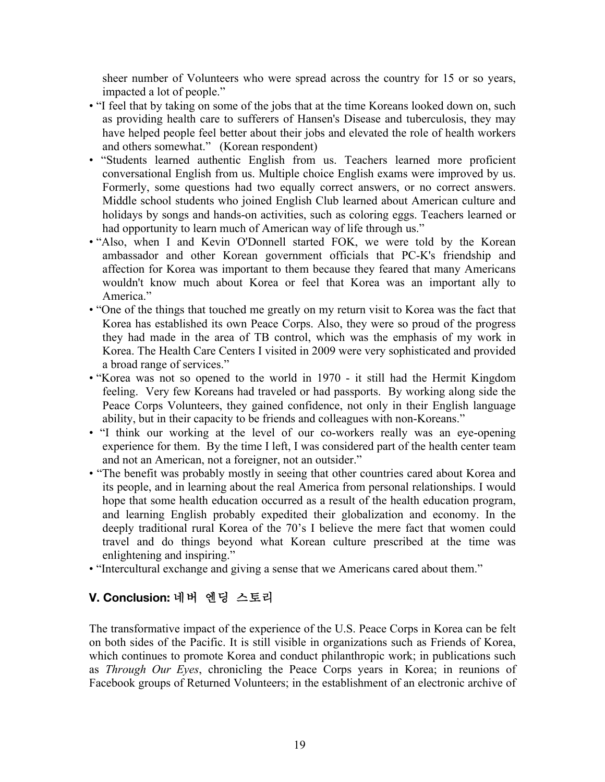sheer number of Volunteers who were spread across the country for 15 or so years, impacted a lot of people."

- "I feel that by taking on some of the jobs that at the time Koreans looked down on, such as providing health care to sufferers of Hansen's Disease and tuberculosis, they may have helped people feel better about their jobs and elevated the role of health workers and others somewhat." (Korean respondent)
- "Students learned authentic English from us. Teachers learned more proficient conversational English from us. Multiple choice English exams were improved by us. Formerly, some questions had two equally correct answers, or no correct answers. Middle school students who joined English Club learned about American culture and holidays by songs and hands-on activities, such as coloring eggs. Teachers learned or had opportunity to learn much of American way of life through us."
- "Also, when I and Kevin O'Donnell started FOK, we were told by the Korean ambassador and other Korean government officials that PC-K's friendship and affection for Korea was important to them because they feared that many Americans wouldn't know much about Korea or feel that Korea was an important ally to America<sup>"</sup>
- "One of the things that touched me greatly on my return visit to Korea was the fact that Korea has established its own Peace Corps. Also, they were so proud of the progress they had made in the area of TB control, which was the emphasis of my work in Korea. The Health Care Centers I visited in 2009 were very sophisticated and provided a broad range of services."
- "Korea was not so opened to the world in 1970 it still had the Hermit Kingdom feeling. Very few Koreans had traveled or had passports. By working along side the Peace Corps Volunteers, they gained confidence, not only in their English language ability, but in their capacity to be friends and colleagues with non-Koreans."
- "I think our working at the level of our co-workers really was an eye-opening experience for them. By the time I left, I was considered part of the health center team and not an American, not a foreigner, not an outsider."
- "The benefit was probably mostly in seeing that other countries cared about Korea and its people, and in learning about the real America from personal relationships. I would hope that some health education occurred as a result of the health education program, and learning English probably expedited their globalization and economy. In the deeply traditional rural Korea of the 70's I believe the mere fact that women could travel and do things beyond what Korean culture prescribed at the time was enlightening and inspiring."
- "Intercultural exchange and giving a sense that we Americans cared about them."

# **V. Conclusion:** 네버 엔딩 스토리

The transformative impact of the experience of the U.S. Peace Corps in Korea can be felt on both sides of the Pacific. It is still visible in organizations such as Friends of Korea, which continues to promote Korea and conduct philanthropic work; in publications such as *Through Our Eyes*, chronicling the Peace Corps years in Korea; in reunions of Facebook groups of Returned Volunteers; in the establishment of an electronic archive of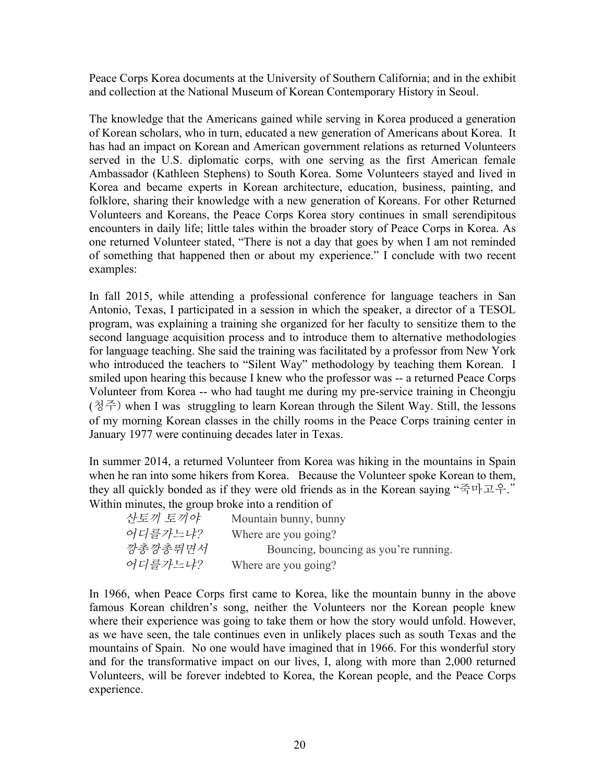Peace Corps Korea documents at the University of Southern California; and in the exhibit and collection at the National Museum of Korean Contemporary History in Seoul.

The knowledge that the Americans gained while serving in Korea produced a generation of Korean scholars, who in turn, educated a new generation of Americans about Korea. It has had an impact on Korean and American government relations as returned Volunteers served in the U.S. diplomatic corps, with one serving as the first American female Ambassador (Kathleen Stephens) to South Korea. Some Volunteers stayed and lived in Korea and became experts in Korean architecture, education, business, painting, and folklore, sharing their knowledge with a new generation of Koreans. For other Returned Volunteers and Koreans, the Peace Corps Korea story continues in small serendipitous encounters in daily life; little tales within the broader story of Peace Corps in Korea. As one returned Volunteer stated, "There is not a day that goes by when I am not reminded of something that happened then or about my experience." I conclude with two recent examples:

In fall 2015, while attending a professional conference for language teachers in San Antonio, Texas, I participated in a session in which the speaker, a director of a TESOL program, was explaining a training she organized for her faculty to sensitize them to the second language acquisition process and to introduce them to alternative methodologies for language teaching. She said the training was facilitated by a professor from New York who introduced the teachers to "Silent Way" methodology by teaching them Korean. I smiled upon hearing this because I knew who the professor was -- a returned Peace Corps Volunteer from Korea -- who had taught me during my pre-service training in Cheongju (청주) when I was struggling to learn Korean through the Silent Way. Still, the lessons of my morning Korean classes in the chilly rooms in the Peace Corps training center in January 1977 were continuing decades later in Texas.

In summer 2014, a returned Volunteer from Korea was hiking in the mountains in Spain when he ran into some hikers from Korea. Because the Volunteer spoke Korean to them, they all quickly bonded as if they were old friends as in the Korean saying "죽마고우." Within minutes, the group broke into a rendition of

| 산토끼 토끼야 | Mountain bunny, bunny                 |
|---------|---------------------------------------|
| 어디를가느냐? | Where are you going?                  |
| 깡총깡총뛰면서 | Bouncing, bouncing as you're running. |
| 어디를가느냐? | Where are you going?                  |

In 1966, when Peace Corps first came to Korea, like the mountain bunny in the above famous Korean children's song, neither the Volunteers nor the Korean people knew where their experience was going to take them or how the story would unfold. However, as we have seen, the tale continues even in unlikely places such as south Texas and the mountains of Spain. No one would have imagined that in 1966. For this wonderful story and for the transformative impact on our lives, I, along with more than 2,000 returned Volunteers, will be forever indebted to Korea, the Korean people, and the Peace Corps experience.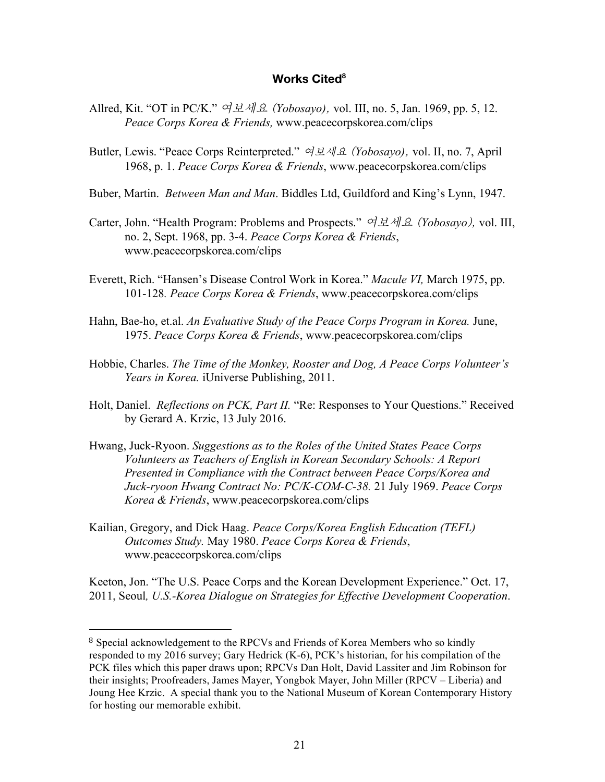#### Works Cited<sup>8</sup>

- Allred, Kit. "OT in PC/K." 여보세요 (*Yobosayo)*, vol. III, no. 5, Jan. 1969, pp. 5, 12. *Peace Corps Korea & Friends,* www.peacecorpskorea.com/clips
- Butler, Lewis. "Peace Corps Reinterpreted." 여보세요 (*Yobosayo)*, vol. II, no. 7, April 1968, p. 1. *Peace Corps Korea & Friends*, www.peacecorpskorea.com/clips
- Buber, Martin. *Between Man and Man*. Biddles Ltd, Guildford and King's Lynn, 1947.
- Carter, John. "Health Program: Problems and Prospects." 여보세요 (*Yobosayo*), vol. III, no. 2, Sept. 1968, pp. 3-4. *Peace Corps Korea & Friends*, www.peacecorpskorea.com/clips
- Everett, Rich. "Hansen's Disease Control Work in Korea." *Macule VI,* March 1975, pp. 101-128*. Peace Corps Korea & Friends*, www.peacecorpskorea.com/clips
- Hahn, Bae-ho, et.al. *An Evaluative Study of the Peace Corps Program in Korea.* June, 1975. *Peace Corps Korea & Friends*, www.peacecorpskorea.com/clips
- Hobbie, Charles. *The Time of the Monkey, Rooster and Dog, A Peace Corps Volunteer's Years in Korea.* iUniverse Publishing, 2011.
- Holt, Daniel. *Reflections on PCK, Part II.* "Re: Responses to Your Questions." Received by Gerard A. Krzic, 13 July 2016.
- Hwang, Juck-Ryoon. *Suggestions as to the Roles of the United States Peace Corps Volunteers as Teachers of English in Korean Secondary Schools: A Report Presented in Compliance with the Contract between Peace Corps/Korea and Juck-ryoon Hwang Contract No: PC/K-COM-C-38.* 21 July 1969. *Peace Corps Korea & Friends*, www.peacecorpskorea.com/clips
- Kailian, Gregory, and Dick Haag. *Peace Corps/Korea English Education (TEFL) Outcomes Study.* May 1980. *Peace Corps Korea & Friends*, www.peacecorpskorea.com/clips

 

Keeton, Jon. "The U.S. Peace Corps and the Korean Development Experience." Oct. 17, 2011, Seoul*, U.S.-Korea Dialogue on Strategies for Effective Development Cooperation*.

<sup>&</sup>lt;sup>8</sup> Special acknowledgement to the RPCVs and Friends of Korea Members who so kindly responded to my 2016 survey; Gary Hedrick (K-6), PCK's historian, for his compilation of the PCK files which this paper draws upon; RPCVs Dan Holt, David Lassiter and Jim Robinson for their insights; Proofreaders, James Mayer, Yongbok Mayer, John Miller (RPCV – Liberia) and Joung Hee Krzic. A special thank you to the National Museum of Korean Contemporary History for hosting our memorable exhibit.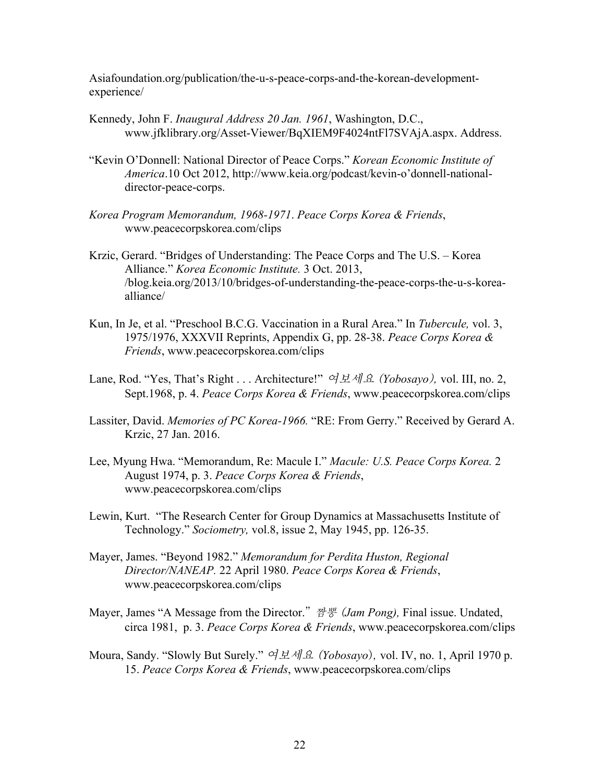Asiafoundation.org/publication/the-u-s-peace-corps-and-the-korean-developmentexperience/

- Kennedy, John F. *Inaugural Address 20 Jan. 1961*, Washington, D.C., www.jfklibrary.org/Asset-Viewer/BqXIEM9F4024ntFl7SVAjA.aspx. Address.
- "Kevin O'Donnell: National Director of Peace Corps." *Korean Economic Institute of America*.10 Oct 2012, http://www.keia.org/podcast/kevin-o'donnell-nationaldirector-peace-corps.
- *Korea Program Memorandum, 1968-1971*. *Peace Corps Korea & Friends*, www.peacecorpskorea.com/clips
- Krzic, Gerard. "Bridges of Understanding: The Peace Corps and The U.S. Korea Alliance." *Korea Economic Institute.* 3 Oct. 2013, /blog.keia.org/2013/10/bridges-of-understanding-the-peace-corps-the-u-s-koreaalliance/
- Kun, In Je, et al. "Preschool B.C.G. Vaccination in a Rural Area." In *Tubercule,* vol. 3, 1975/1976, XXXVII Reprints, Appendix G, pp. 28-38. *Peace Corps Korea & Friends*, www.peacecorpskorea.com/clips
- Lane, Rod. "Yes, That's Right . . . Architecture!" 여보세요 (*Yobosayo*), vol. III, no. 2, Sept.1968, p. 4. *Peace Corps Korea & Friends*, www.peacecorpskorea.com/clips
- Lassiter, David. *Memories of PC Korea-1966.* "RE: From Gerry." Received by Gerard A. Krzic, 27 Jan. 2016.
- Lee, Myung Hwa. "Memorandum, Re: Macule I." *Macule: U.S. Peace Corps Korea.* 2 August 1974, p. 3. *Peace Corps Korea & Friends*, www.peacecorpskorea.com/clips
- Lewin, Kurt. "The Research Center for Group Dynamics at Massachusetts Institute of Technology." *Sociometry,* vol.8, issue 2, May 1945, pp. 126-35.
- Mayer, James. "Beyond 1982." *Memorandum for Perdita Huston, Regional Director/NANEAP.* 22 April 1980. *Peace Corps Korea & Friends*, www.peacecorpskorea.com/clips
- Mayer, James "A Message from the Director." 짬뽕 (*Jam Pong),* Final issue. Undated, circa 1981, p. 3. *Peace Corps Korea & Friends*, www.peacecorpskorea.com/clips
- Moura, Sandy. "Slowly But Surely." 여보세요 (*Yobosayo*), vol. IV, no. 1, April 1970 p. 15. *Peace Corps Korea & Friends*, www.peacecorpskorea.com/clips